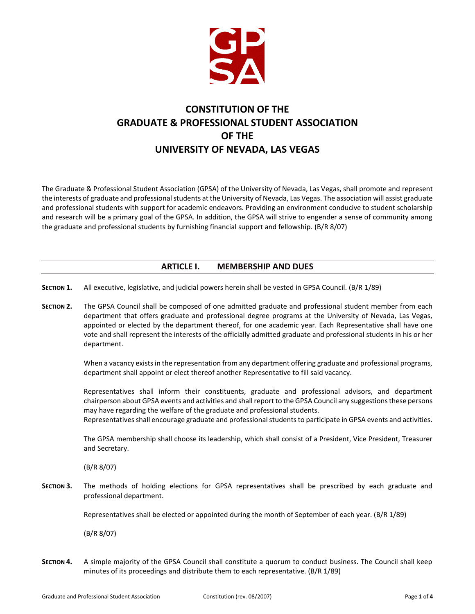

# **CONSTITUTION OF THE GRADUATE & PROFESSIONAL STUDENT ASSOCIATION OF THE UNIVERSITY OF NEVADA, LAS VEGAS**

The Graduate & Professional Student Association (GPSA) of the University of Nevada, Las Vegas, shall promote and represent the interests of graduate and professional students at the University of Nevada, Las Vegas. The association will assist graduate and professional students with support for academic endeavors. Providing an environment conducive to student scholarship and research will be a primary goal of the GPSA. In addition, the GPSA will strive to engender a sense of community among the graduate and professional students by furnishing financial support and fellowship. (B/R 8/07)

# **ARTICLE I. MEMBERSHIP AND DUES**

- **SECTION 1.** All executive, legislative, and judicial powers herein shall be vested in GPSA Council. (B/R 1/89)
- **SECTION 2.** The GPSA Council shall be composed of one admitted graduate and professional student member from each department that offers graduate and professional degree programs at the University of Nevada, Las Vegas, appointed or elected by the department thereof, for one academic year. Each Representative shall have one vote and shall represent the interests of the officially admitted graduate and professional students in his or her department.

When a vacancy exists in the representation from any department offering graduate and professional programs, department shall appoint or elect thereof another Representative to fill said vacancy.

Representatives shall inform their constituents, graduate and professional advisors, and department chairperson about GPSA events and activities and shall report to the GPSA Council any suggestions these persons may have regarding the welfare of the graduate and professional students.

Representatives shall encourage graduate and professional students to participate in GPSA events and activities.

The GPSA membership shall choose its leadership, which shall consist of a President, Vice President, Treasurer and Secretary.

(B/R 8/07)

**SECTION 3.** The methods of holding elections for GPSA representatives shall be prescribed by each graduate and professional department.

Representatives shall be elected or appointed during the month of September of each year. (B/R 1/89)

(B/R 8/07)

**SECTION 4.** A simple majority of the GPSA Council shall constitute a quorum to conduct business. The Council shall keep minutes of its proceedings and distribute them to each representative. (B/R 1/89)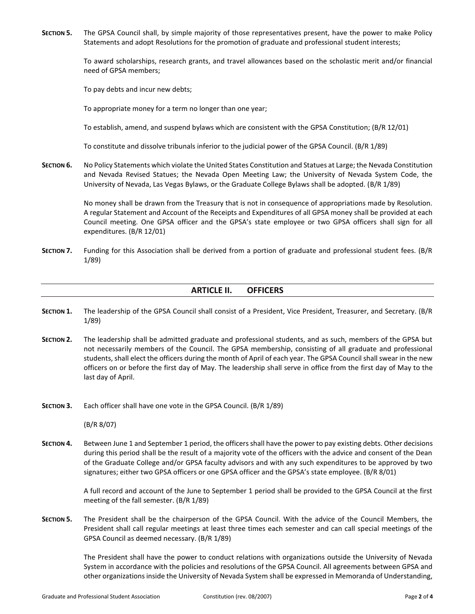**SECTION 5.** The GPSA Council shall, by simple majority of those representatives present, have the power to make Policy Statements and adopt Resolutions for the promotion of graduate and professional student interests;

> To award scholarships, research grants, and travel allowances based on the scholastic merit and/or financial need of GPSA members;

To pay debts and incur new debts;

To appropriate money for a term no longer than one year;

To establish, amend, and suspend bylaws which are consistent with the GPSA Constitution; (B/R 12/01)

To constitute and dissolve tribunals inferior to the judicial power of the GPSA Council. (B/R 1/89)

**SECTION 6.** No Policy Statements which violate the United States Constitution and Statues at Large; the Nevada Constitution and Nevada Revised Statues; the Nevada Open Meeting Law; the University of Nevada System Code, the University of Nevada, Las Vegas Bylaws, or the Graduate College Bylaws shall be adopted. (B/R 1/89)

> No money shall be drawn from the Treasury that is not in consequence of appropriations made by Resolution. A regular Statement and Account of the Receipts and Expenditures of all GPSA money shall be provided at each Council meeting. One GPSA officer and the GPSA's state employee or two GPSA officers shall sign for all expenditures. (B/R 12/01)

**SECTION 7.** Funding for this Association shall be derived from a portion of graduate and professional student fees. (B/R 1/89)

# **ARTICLE II. OFFICERS**

- **SECTION 1.** The leadership of the GPSA Council shall consist of a President, Vice President, Treasurer, and Secretary. (B/R 1/89)
- **SECTION 2.** The leadership shall be admitted graduate and professional students, and as such, members of the GPSA but not necessarily members of the Council. The GPSA membership, consisting of all graduate and professional students, shall elect the officers during the month of April of each year. The GPSA Council shall swear in the new officers on or before the first day of May. The leadership shall serve in office from the first day of May to the last day of April.
- **SECTION 3.** Each officer shall have one vote in the GPSA Council. (B/R 1/89)

(B/R 8/07)

**SECTION 4.** Between June 1 and September 1 period, the officers shall have the power to pay existing debts. Other decisions during this period shall be the result of a majority vote of the officers with the advice and consent of the Dean of the Graduate College and/or GPSA faculty advisors and with any such expenditures to be approved by two signatures; either two GPSA officers or one GPSA officer and the GPSA's state employee. (B/R 8/01)

> A full record and account of the June to September 1 period shall be provided to the GPSA Council at the first meeting of the fall semester. (B/R 1/89)

**SECTION 5.** The President shall be the chairperson of the GPSA Council. With the advice of the Council Members, the President shall call regular meetings at least three times each semester and can call special meetings of the GPSA Council as deemed necessary. (B/R 1/89)

> The President shall have the power to conduct relations with organizations outside the University of Nevada System in accordance with the policies and resolutions of the GPSA Council. All agreements between GPSA and other organizations inside the University of Nevada System shall be expressed in Memoranda of Understanding,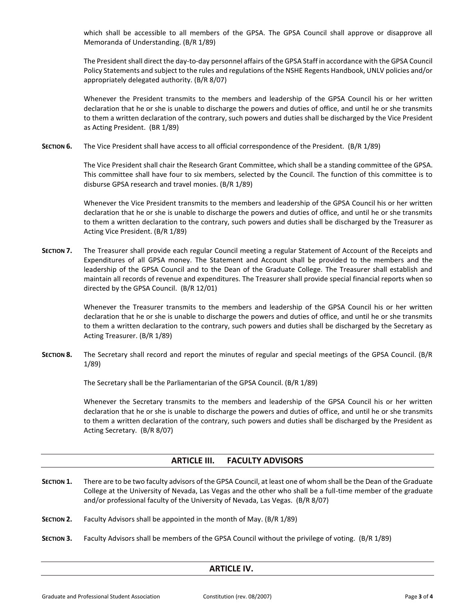which shall be accessible to all members of the GPSA. The GPSA Council shall approve or disapprove all Memoranda of Understanding. (B/R 1/89)

The President shall direct the day-to-day personnel affairs of the GPSA Staff in accordance with the GPSA Council Policy Statements and subject to the rules and regulations of the NSHE Regents Handbook, UNLV policies and/or appropriately delegated authority. (B/R 8/07)

Whenever the President transmits to the members and leadership of the GPSA Council his or her written declaration that he or she is unable to discharge the powers and duties of office, and until he or she transmits to them a written declaration of the contrary, such powers and duties shall be discharged by the Vice President as Acting President. (BR 1/89)

**SECTION 6.** The Vice President shall have access to all official correspondence of the President. (B/R 1/89)

The Vice President shall chair the Research Grant Committee, which shall be a standing committee of the GPSA. This committee shall have four to six members, selected by the Council. The function of this committee is to disburse GPSA research and travel monies. (B/R 1/89)

Whenever the Vice President transmits to the members and leadership of the GPSA Council his or her written declaration that he or she is unable to discharge the powers and duties of office, and until he or she transmits to them a written declaration to the contrary, such powers and duties shall be discharged by the Treasurer as Acting Vice President. (B/R 1/89)

**SECTION 7.** The Treasurer shall provide each regular Council meeting a regular Statement of Account of the Receipts and Expenditures of all GPSA money. The Statement and Account shall be provided to the members and the leadership of the GPSA Council and to the Dean of the Graduate College. The Treasurer shall establish and maintain all records of revenue and expenditures. The Treasurer shall provide special financial reports when so directed by the GPSA Council. (B/R 12/01)

> Whenever the Treasurer transmits to the members and leadership of the GPSA Council his or her written declaration that he or she is unable to discharge the powers and duties of office, and until he or she transmits to them a written declaration to the contrary, such powers and duties shall be discharged by the Secretary as Acting Treasurer. (B/R 1/89)

**SECTION 8.** The Secretary shall record and report the minutes of regular and special meetings of the GPSA Council. (B/R 1/89)

The Secretary shall be the Parliamentarian of the GPSA Council. (B/R 1/89)

Whenever the Secretary transmits to the members and leadership of the GPSA Council his or her written declaration that he or she is unable to discharge the powers and duties of office, and until he or she transmits to them a written declaration of the contrary, such powers and duties shall be discharged by the President as Acting Secretary. (B/R 8/07)

# **ARTICLE III. FACULTY ADVISORS**

- **SECTION 1.** There are to be two faculty advisors of the GPSA Council, at least one of whom shall be the Dean of the Graduate College at the University of Nevada, Las Vegas and the other who shall be a full-time member of the graduate and/or professional faculty of the University of Nevada, Las Vegas. (B/R 8/07)
- **SECTION 2.** Faculty Advisors shall be appointed in the month of May. (B/R 1/89)
- **SECTION 3.** Faculty Advisors shall be members of the GPSA Council without the privilege of voting. (B/R 1/89)

#### **ARTICLE IV.**